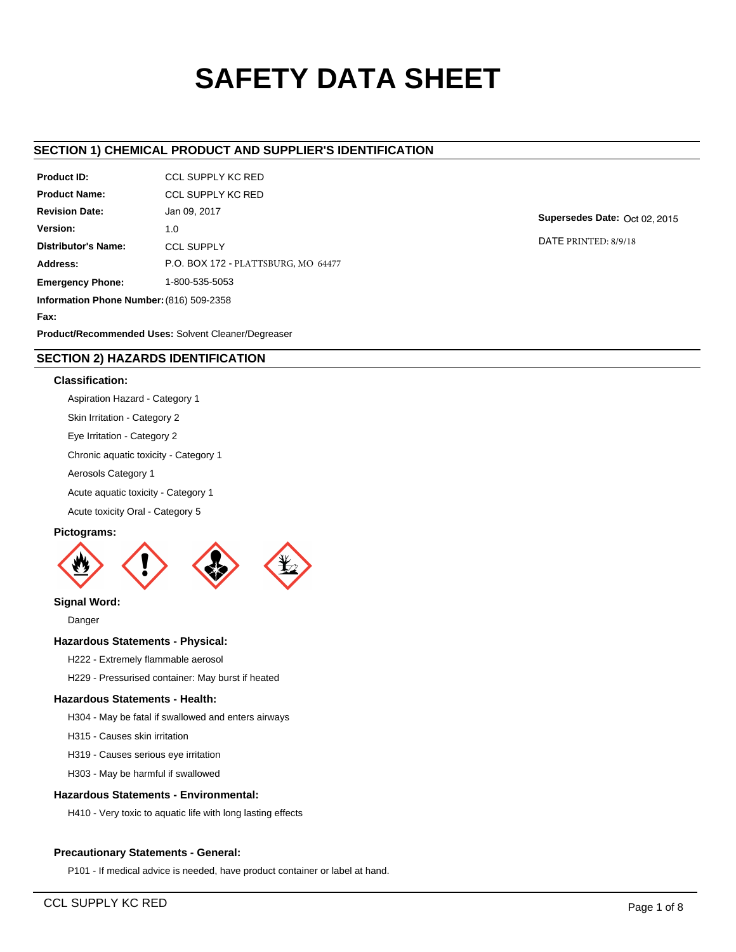# **SAFETY DATA SHEET**

# **SECTION 1) CHEMICAL PRODUCT AND SUPPLIER'S IDENTIFICATION**

| <b>Product ID:</b>                       | <b>CCL SUPPLY KC RED</b>            |  |  |  |
|------------------------------------------|-------------------------------------|--|--|--|
| <b>Product Name:</b>                     | <b>CCL SUPPLY KC RED</b>            |  |  |  |
| <b>Revision Date:</b>                    | Jan 09, 2017                        |  |  |  |
| Version:                                 | 1.0                                 |  |  |  |
| Distributor's Name:                      | <b>CCL SUPPLY</b>                   |  |  |  |
| Address:                                 | P.O. BOX 172 - PLATTSBURG, MO 64477 |  |  |  |
| <b>Emergency Phone:</b>                  | 1-800-535-5053                      |  |  |  |
| Information Phone Number: (816) 509-2358 |                                     |  |  |  |
| Fax:                                     |                                     |  |  |  |

**Supersedes Date:** Oct 02, 2015

DATE PRINTED: 8/9/18

**Product/Recommended Uses:** Solvent Cleaner/Degreaser

# **SECTION 2) HAZARDS IDENTIFICATION**

## **Classification:**

Aspiration Hazard - Category 1

Skin Irritation - Category 2

Eye Irritation - Category 2

Chronic aquatic toxicity - Category 1

Aerosols Category 1

Acute aquatic toxicity - Category 1

Acute toxicity Oral - Category 5

## **Pictograms:**



**Signal Word:**

Danger

## **Hazardous Statements - Physical:**

H222 - Extremely flammable aerosol

H229 - Pressurised container: May burst if heated

# **Hazardous Statements - Health:**

H304 - May be fatal if swallowed and enters airways

H315 - Causes skin irritation

H319 - Causes serious eye irritation

H303 - May be harmful if swallowed

# **Hazardous Statements - Environmental:**

H410 - Very toxic to aquatic life with long lasting effects

# **Precautionary Statements - General:**

P101 - If medical advice is needed, have product container or label at hand.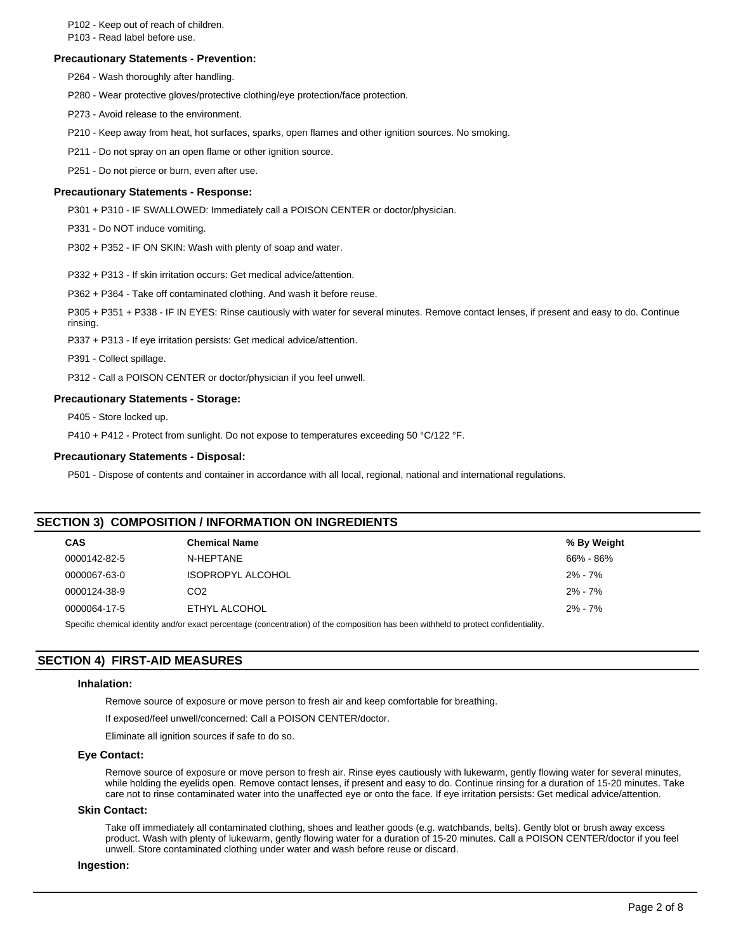P102 - Keep out of reach of children.

P103 - Read label before use.

#### **Precautionary Statements - Prevention:**

P264 - Wash thoroughly after handling.

P280 - Wear protective gloves/protective clothing/eye protection/face protection.

P273 - Avoid release to the environment.

P210 - Keep away from heat, hot surfaces, sparks, open flames and other ignition sources. No smoking.

P211 - Do not spray on an open flame or other ignition source.

P251 - Do not pierce or burn, even after use.

## **Precautionary Statements - Response:**

P301 + P310 - IF SWALLOWED: Immediately call a POISON CENTER or doctor/physician.

P331 - Do NOT induce vomiting.

P302 + P352 - IF ON SKIN: Wash with plenty of soap and water.

P332 + P313 - If skin irritation occurs: Get medical advice/attention.

P362 + P364 - Take off contaminated clothing. And wash it before reuse.

P305 + P351 + P338 - IF IN EYES: Rinse cautiously with water for several minutes. Remove contact lenses, if present and easy to do. Continue rinsing.

P337 + P313 - If eye irritation persists: Get medical advice/attention.

P391 - Collect spillage.

P312 - Call a POISON CENTER or doctor/physician if you feel unwell.

## **Precautionary Statements - Storage:**

P405 - Store locked up.

P410 + P412 - Protect from sunlight. Do not expose to temperatures exceeding 50 °C/122 °F.

## **Precautionary Statements - Disposal:**

P501 - Dispose of contents and container in accordance with all local, regional, national and international regulations.

## **SECTION 3) COMPOSITION / INFORMATION ON INGREDIENTS**

| <b>CAS</b>   | <b>Chemical Name</b>                                                                                                                                                                                                           | % By Weight |
|--------------|--------------------------------------------------------------------------------------------------------------------------------------------------------------------------------------------------------------------------------|-------------|
| 0000142-82-5 | N-HEPTANE                                                                                                                                                                                                                      | 66% - 86%   |
| 0000067-63-0 | <b>ISOPROPYL ALCOHOL</b>                                                                                                                                                                                                       | $2\% - 7\%$ |
| 0000124-38-9 | CO <sub>2</sub>                                                                                                                                                                                                                | $2\% - 7\%$ |
| 0000064-17-5 | ETHYL ALCOHOL                                                                                                                                                                                                                  | $2\% - 7\%$ |
|              | On called the control identification and the correspondent of the control of the control of the control of the control of the control of the control of the control of the control of the control of the control of the contro |             |

Specific chemical identity and/or exact percentage (concentration) of the composition has been withheld to protect confidentiality.

# **SECTION 4) FIRST-AID MEASURES**

#### **Inhalation:**

Remove source of exposure or move person to fresh air and keep comfortable for breathing.

If exposed/feel unwell/concerned: Call a POISON CENTER/doctor.

Eliminate all ignition sources if safe to do so.

#### **Eye Contact:**

Remove source of exposure or move person to fresh air. Rinse eyes cautiously with lukewarm, gently flowing water for several minutes, while holding the eyelids open. Remove contact lenses, if present and easy to do. Continue rinsing for a duration of 15-20 minutes. Take care not to rinse contaminated water into the unaffected eye or onto the face. If eye irritation persists: Get medical advice/attention.

#### **Skin Contact:**

Take off immediately all contaminated clothing, shoes and leather goods (e.g. watchbands, belts). Gently blot or brush away excess product. Wash with plenty of lukewarm, gently flowing water for a duration of 15-20 minutes. Call a POISON CENTER/doctor if you feel unwell. Store contaminated clothing under water and wash before reuse or discard.

## **Ingestion:**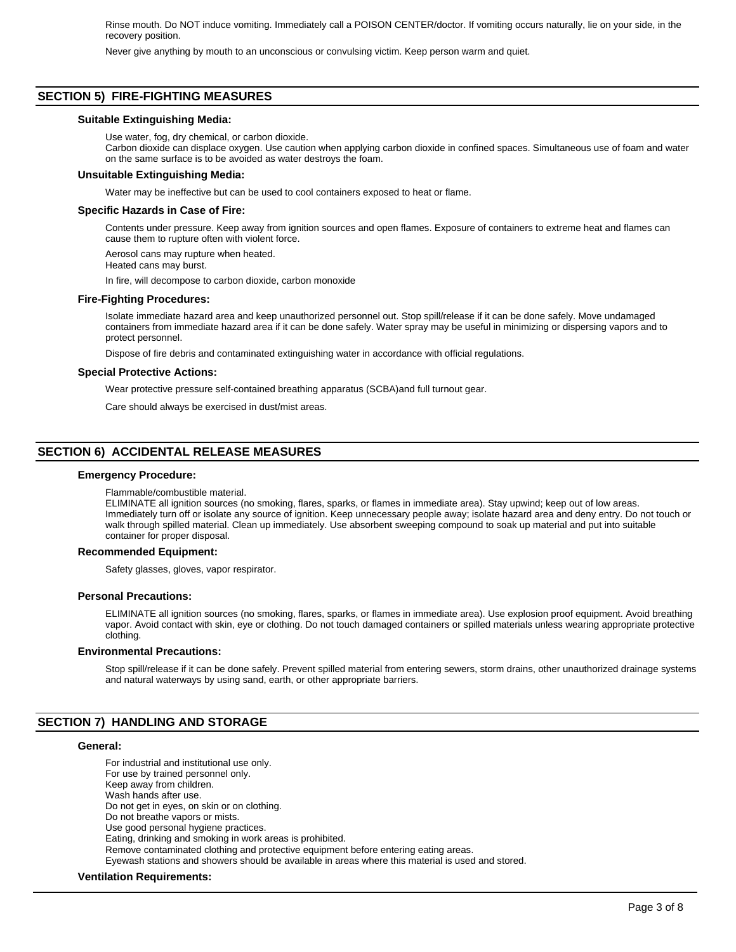Rinse mouth. Do NOT induce vomiting. Immediately call a POISON CENTER/doctor. If vomiting occurs naturally, lie on your side, in the recovery position.

Never give anything by mouth to an unconscious or convulsing victim. Keep person warm and quiet.

## **SECTION 5) FIRE-FIGHTING MEASURES**

#### **Suitable Extinguishing Media:**

Use water, fog, dry chemical, or carbon dioxide.

Carbon dioxide can displace oxygen. Use caution when applying carbon dioxide in confined spaces. Simultaneous use of foam and water on the same surface is to be avoided as water destroys the foam.

#### **Unsuitable Extinguishing Media:**

Water may be ineffective but can be used to cool containers exposed to heat or flame.

#### **Specific Hazards in Case of Fire:**

Contents under pressure. Keep away from ignition sources and open flames. Exposure of containers to extreme heat and flames can cause them to rupture often with violent force.

Aerosol cans may rupture when heated. Heated cans may burst.

In fire, will decompose to carbon dioxide, carbon monoxide

#### **Fire-Fighting Procedures:**

Isolate immediate hazard area and keep unauthorized personnel out. Stop spill/release if it can be done safely. Move undamaged containers from immediate hazard area if it can be done safely. Water spray may be useful in minimizing or dispersing vapors and to protect personnel.

Dispose of fire debris and contaminated extinguishing water in accordance with official regulations.

#### **Special Protective Actions:**

Wear protective pressure self-contained breathing apparatus (SCBA)and full turnout gear.

Care should always be exercised in dust/mist areas.

## **SECTION 6) ACCIDENTAL RELEASE MEASURES**

#### **Emergency Procedure:**

#### Flammable/combustible material.

ELIMINATE all ignition sources (no smoking, flares, sparks, or flames in immediate area). Stay upwind; keep out of low areas. Immediately turn off or isolate any source of ignition. Keep unnecessary people away; isolate hazard area and deny entry. Do not touch or walk through spilled material. Clean up immediately. Use absorbent sweeping compound to soak up material and put into suitable container for proper disposal.

#### **Recommended Equipment:**

Safety glasses, gloves, vapor respirator.

#### **Personal Precautions:**

ELIMINATE all ignition sources (no smoking, flares, sparks, or flames in immediate area). Use explosion proof equipment. Avoid breathing vapor. Avoid contact with skin, eye or clothing. Do not touch damaged containers or spilled materials unless wearing appropriate protective clothing.

#### **Environmental Precautions:**

Stop spill/release if it can be done safely. Prevent spilled material from entering sewers, storm drains, other unauthorized drainage systems and natural waterways by using sand, earth, or other appropriate barriers.

## **SECTION 7) HANDLING AND STORAGE**

## **General:**

For industrial and institutional use only. For use by trained personnel only. Keep away from children. Wash hands after use. Do not get in eyes, on skin or on clothing. Do not breathe vapors or mists. Use good personal hygiene practices. Eating, drinking and smoking in work areas is prohibited. Remove contaminated clothing and protective equipment before entering eating areas. Eyewash stations and showers should be available in areas where this material is used and stored.

#### **Ventilation Requirements:**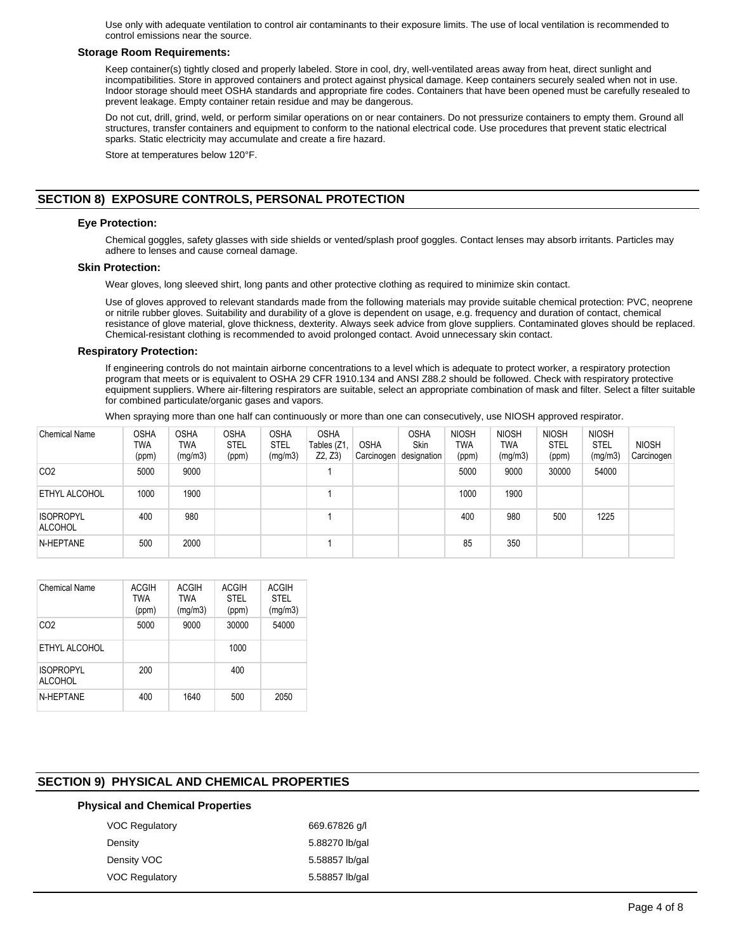Use only with adequate ventilation to control air contaminants to their exposure limits. The use of local ventilation is recommended to control emissions near the source.

## **Storage Room Requirements:**

Keep container(s) tightly closed and properly labeled. Store in cool, dry, well-ventilated areas away from heat, direct sunlight and incompatibilities. Store in approved containers and protect against physical damage. Keep containers securely sealed when not in use. Indoor storage should meet OSHA standards and appropriate fire codes. Containers that have been opened must be carefully resealed to prevent leakage. Empty container retain residue and may be dangerous.

Do not cut, drill, grind, weld, or perform similar operations on or near containers. Do not pressurize containers to empty them. Ground all structures, transfer containers and equipment to conform to the national electrical code. Use procedures that prevent static electrical sparks. Static electricity may accumulate and create a fire hazard.

Store at temperatures below 120°F.

# **SECTION 8) EXPOSURE CONTROLS, PERSONAL PROTECTION**

## **Eye Protection:**

Chemical goggles, safety glasses with side shields or vented/splash proof goggles. Contact lenses may absorb irritants. Particles may adhere to lenses and cause corneal damage.

#### **Skin Protection:**

Wear gloves, long sleeved shirt, long pants and other protective clothing as required to minimize skin contact.

Use of gloves approved to relevant standards made from the following materials may provide suitable chemical protection: PVC, neoprene or nitrile rubber gloves. Suitability and durability of a glove is dependent on usage, e.g. frequency and duration of contact, chemical resistance of glove material, glove thickness, dexterity. Always seek advice from glove suppliers. Contaminated gloves should be replaced. Chemical-resistant clothing is recommended to avoid prolonged contact. Avoid unnecessary skin contact.

#### **Respiratory Protection:**

If engineering controls do not maintain airborne concentrations to a level which is adequate to protect worker, a respiratory protection program that meets or is equivalent to OSHA 29 CFR 1910.134 and ANSI Z88.2 should be followed. Check with respiratory protective equipment suppliers. Where air-filtering respirators are suitable, select an appropriate combination of mask and filter. Select a filter suitable for combined particulate/organic gases and vapors.

When spraying more than one half can continuously or more than one can consecutively, use NIOSH approved respirator.

| <b>Chemical Name</b>               | <b>OSHA</b><br>TWA<br>(ppm) | <b>OSHA</b><br>TWA<br>(mg/m3) | <b>OSHA</b><br><b>STEL</b><br>(ppm) | <b>OSHA</b><br><b>STEL</b><br>(mg/m3) | <b>OSHA</b><br>Tables (Z1<br>Z2, Z3 | <b>OSHA</b><br>Carcinogen | <b>OSHA</b><br>Skin<br>designation | <b>NIOSH</b><br>TWA<br>(ppm) | <b>NIOSH</b><br>TWA<br>(mg/m3) | <b>NIOSH</b><br><b>STEL</b><br>(ppm) | <b>NIOSH</b><br><b>STEL</b><br>(mg/m3) | <b>NIOSH</b><br>Carcinogen |
|------------------------------------|-----------------------------|-------------------------------|-------------------------------------|---------------------------------------|-------------------------------------|---------------------------|------------------------------------|------------------------------|--------------------------------|--------------------------------------|----------------------------------------|----------------------------|
| CO <sub>2</sub>                    | 5000                        | 9000                          |                                     |                                       |                                     |                           |                                    | 5000                         | 9000                           | 30000                                | 54000                                  |                            |
| ETHYL ALCOHOL                      | 1000                        | 1900                          |                                     |                                       |                                     |                           |                                    | 1000                         | 1900                           |                                      |                                        |                            |
| <b>ISOPROPYL</b><br><b>ALCOHOL</b> | 400                         | 980                           |                                     |                                       |                                     |                           |                                    | 400                          | 980                            | 500                                  | 1225                                   |                            |
| N-HEPTANE                          | 500                         | 2000                          |                                     |                                       |                                     |                           |                                    | 85                           | 350                            |                                      |                                        |                            |

| <b>Chemical Name</b>               | <b>ACGIH</b><br>TWA<br>(ppm) | <b>ACGIH</b><br><b>TWA</b><br>(mg/m3) | <b>ACGIH</b><br>STFI<br>(ppm) | <b>ACGIH</b><br>STFI<br>(mg/m3) |
|------------------------------------|------------------------------|---------------------------------------|-------------------------------|---------------------------------|
| CO <sub>2</sub>                    | 5000                         | 9000                                  | 30000                         | 54000                           |
| ETHYL ALCOHOL                      |                              |                                       | 1000                          |                                 |
| <b>ISOPROPYL</b><br><b>ALCOHOL</b> | 200                          |                                       | 400                           |                                 |
| N-HFPTANF                          | 400                          | 1640                                  | 500                           | 2050                            |

## **SECTION 9) PHYSICAL AND CHEMICAL PROPERTIES**

## **Physical and Chemical Properties**

| <b>VOC Regulatory</b> | 669.67826 q/l  |
|-----------------------|----------------|
| Density               | 5.88270 lb/gal |
| Density VOC           | 5.58857 lb/gal |
| <b>VOC Regulatory</b> | 5.58857 lb/gal |
|                       |                |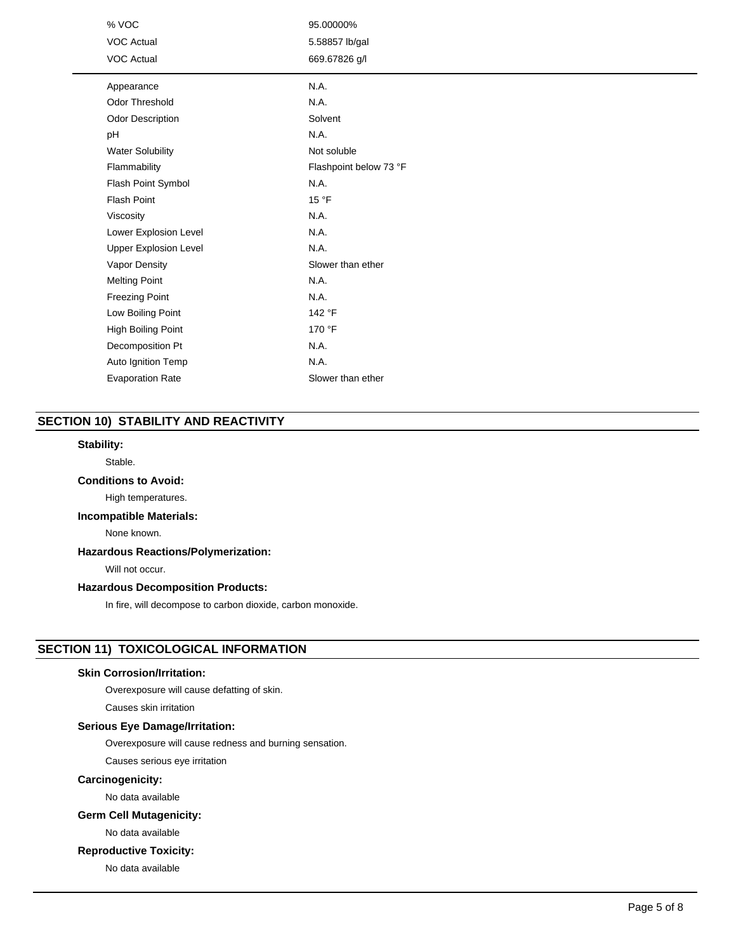| % VOC                        | 95.00000%              |
|------------------------------|------------------------|
| <b>VOC Actual</b>            | 5.58857 lb/gal         |
| <b>VOC Actual</b>            | 669.67826 g/l          |
| Appearance                   | N.A.                   |
| <b>Odor Threshold</b>        | N.A.                   |
| <b>Odor Description</b>      | Solvent                |
| pH                           | N.A.                   |
| <b>Water Solubility</b>      | Not soluble            |
| Flammability                 | Flashpoint below 73 °F |
| Flash Point Symbol           | N.A.                   |
| <b>Flash Point</b>           | 15 °F                  |
| Viscosity                    | N.A.                   |
| Lower Explosion Level        | N.A.                   |
| <b>Upper Explosion Level</b> | N.A.                   |
| Vapor Density                | Slower than ether      |
| <b>Melting Point</b>         | N.A.                   |
| <b>Freezing Point</b>        | N.A.                   |
| Low Boiling Point            | 142 °F                 |
| High Boiling Point           | 170 °F                 |
| Decomposition Pt             | N.A.                   |
| Auto Ignition Temp           | N.A.                   |
| <b>Evaporation Rate</b>      | Slower than ether      |

# **SECTION 10) STABILITY AND REACTIVITY**

## **Stability:**

Stable.

## **Conditions to Avoid:**

High temperatures.

# **Incompatible Materials:**

None known.

## **Hazardous Reactions/Polymerization:**

Will not occur.

## **Hazardous Decomposition Products:**

In fire, will decompose to carbon dioxide, carbon monoxide.

# **SECTION 11) TOXICOLOGICAL INFORMATION**

## **Skin Corrosion/Irritation:**

Overexposure will cause defatting of skin.

Causes skin irritation

## **Serious Eye Damage/Irritation:**

Overexposure will cause redness and burning sensation.

Causes serious eye irritation

## **Carcinogenicity:**

No data available

## **Germ Cell Mutagenicity:**

No data available

## **Reproductive Toxicity:**

No data available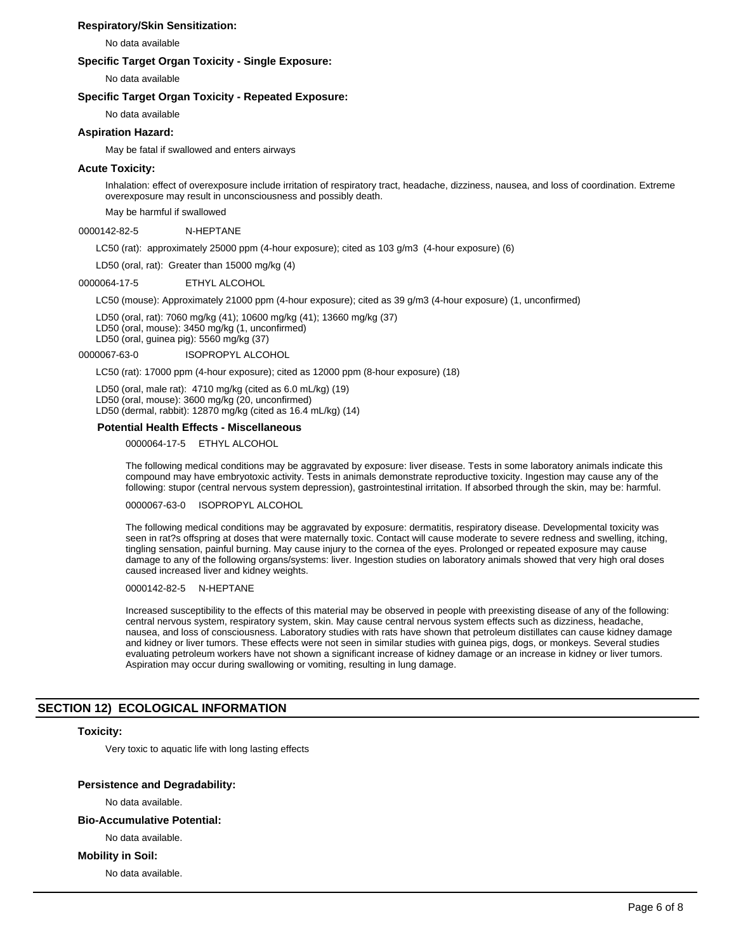## **Respiratory/Skin Sensitization:**

No data available

## **Specific Target Organ Toxicity - Single Exposure:**

No data available

## **Specific Target Organ Toxicity - Repeated Exposure:**

No data available

# **Aspiration Hazard:**

May be fatal if swallowed and enters airways

## **Acute Toxicity:**

Inhalation: effect of overexposure include irritation of respiratory tract, headache, dizziness, nausea, and loss of coordination. Extreme overexposure may result in unconsciousness and possibly death.

May be harmful if swallowed

#### 0000142-82-5 N-HEPTANE

LC50 (rat): approximately 25000 ppm (4-hour exposure); cited as 103 g/m3 (4-hour exposure) (6)

LD50 (oral, rat): Greater than 15000 mg/kg (4)

#### 0000064-17-5 ETHYL ALCOHOL

LC50 (mouse): Approximately 21000 ppm (4-hour exposure); cited as 39 g/m3 (4-hour exposure) (1, unconfirmed)

LD50 (oral, rat): 7060 mg/kg (41); 10600 mg/kg (41); 13660 mg/kg (37) LD50 (oral, mouse): 3450 mg/kg (1, unconfirmed) LD50 (oral, guinea pig): 5560 mg/kg (37)

0000067-63-0 ISOPROPYL ALCOHOL

LC50 (rat): 17000 ppm (4-hour exposure); cited as 12000 ppm (8-hour exposure) (18)

LD50 (oral, male rat): 4710 mg/kg (cited as 6.0 mL/kg) (19) LD50 (oral, mouse): 3600 mg/kg (20, unconfirmed) LD50 (dermal, rabbit): 12870 mg/kg (cited as 16.4 mL/kg) (14)

## **Potential Health Effects - Miscellaneous**

0000064-17-5 ETHYL ALCOHOL

The following medical conditions may be aggravated by exposure: liver disease. Tests in some laboratory animals indicate this compound may have embryotoxic activity. Tests in animals demonstrate reproductive toxicity. Ingestion may cause any of the following: stupor (central nervous system depression), gastrointestinal irritation. If absorbed through the skin, may be: harmful.

0000067-63-0 ISOPROPYL ALCOHOL

The following medical conditions may be aggravated by exposure: dermatitis, respiratory disease. Developmental toxicity was seen in rat?s offspring at doses that were maternally toxic. Contact will cause moderate to severe redness and swelling, itching, tingling sensation, painful burning. May cause injury to the cornea of the eyes. Prolonged or repeated exposure may cause damage to any of the following organs/systems: liver. Ingestion studies on laboratory animals showed that very high oral doses caused increased liver and kidney weights.

## 0000142-82-5 N-HEPTANE

Increased susceptibility to the effects of this material may be observed in people with preexisting disease of any of the following: central nervous system, respiratory system, skin. May cause central nervous system effects such as dizziness, headache, nausea, and loss of consciousness. Laboratory studies with rats have shown that petroleum distillates can cause kidney damage and kidney or liver tumors. These effects were not seen in similar studies with guinea pigs, dogs, or monkeys. Several studies evaluating petroleum workers have not shown a significant increase of kidney damage or an increase in kidney or liver tumors. Aspiration may occur during swallowing or vomiting, resulting in lung damage.

## **SECTION 12) ECOLOGICAL INFORMATION**

#### **Toxicity:**

Very toxic to aquatic life with long lasting effects

## **Persistence and Degradability:**

No data available.

## **Bio-Accumulative Potential:**

No data available.

## **Mobility in Soil:**

No data available.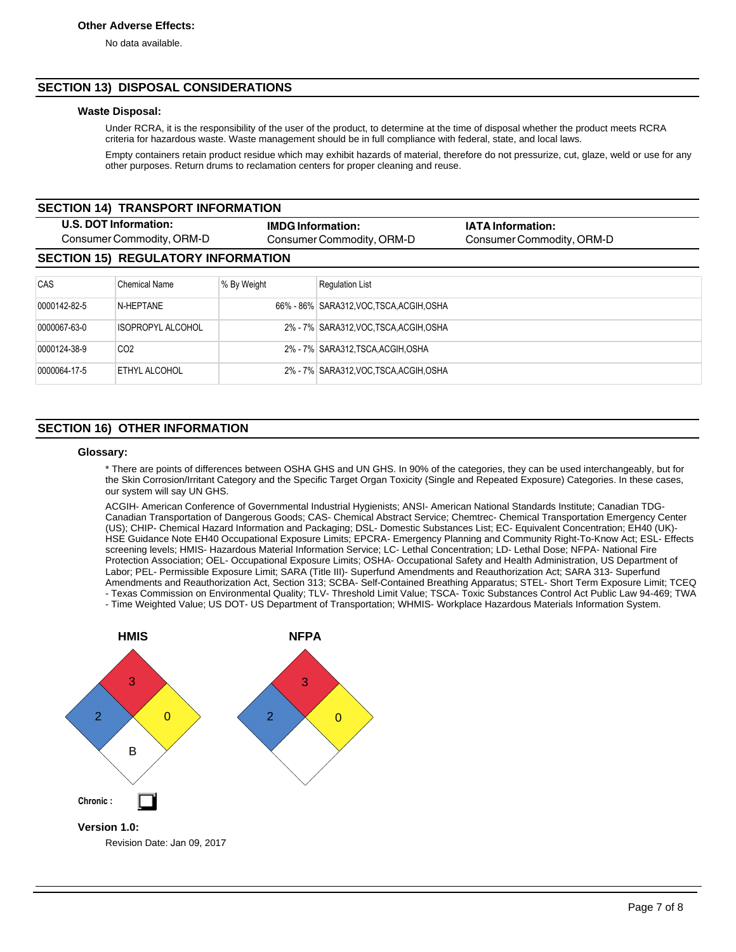No data available.

# **SECTION 13) DISPOSAL CONSIDERATIONS**

## **Waste Disposal:**

Under RCRA, it is the responsibility of the user of the product, to determine at the time of disposal whether the product meets RCRA criteria for hazardous waste. Waste management should be in full compliance with federal, state, and local laws.

Empty containers retain product residue which may exhibit hazards of material, therefore do not pressurize, cut, glaze, weld or use for any other purposes. Return drums to reclamation centers for proper cleaning and reuse.

| <b>SECTION 14) TRANSPORT INFORMATION</b>           |                                           |                          |                                         |                                                       |  |
|----------------------------------------------------|-------------------------------------------|--------------------------|-----------------------------------------|-------------------------------------------------------|--|
| U.S. DOT Information:<br>Consumer Commodity, ORM-D |                                           | <b>IMDG Information:</b> | Consumer Commodity, ORM-D               | <b>IATA Information:</b><br>Consumer Commodity, ORM-D |  |
|                                                    | <b>SECTION 15) REGULATORY INFORMATION</b> |                          |                                         |                                                       |  |
| CAS                                                | Chemical Name                             | % By Weight              | <b>Requlation List</b>                  |                                                       |  |
| 0000142-82-5                                       | N-HEPTANE                                 |                          | 66% - 86% SARA312.VOC TSCA ACGIH OSHA   |                                                       |  |
| 0000067-63-0                                       | ISOPROPYL ALCOHOL                         |                          | 2% - 7% SARA312, VOC, TSCA, ACGIH, OSHA |                                                       |  |
| 0000124-38-9                                       | CO <sub>2</sub>                           |                          | 2% - 7% SARA312.TSCA.ACGIH.OSHA         |                                                       |  |
| 0000064-17-5                                       | <b>ETHYL ALCOHOL</b>                      |                          | 2% - 7% SARA312, VOC, TSCA, ACGIH, OSHA |                                                       |  |

# **SECTION 16) OTHER INFORMATION**

## **Glossary:**

\* There are points of differences between OSHA GHS and UN GHS. In 90% of the categories, they can be used interchangeably, but for the Skin Corrosion/Irritant Category and the Specific Target Organ Toxicity (Single and Repeated Exposure) Categories. In these cases, our system will say UN GHS.

ACGIH- American Conference of Governmental Industrial Hygienists; ANSI- American National Standards Institute; Canadian TDG-Canadian Transportation of Dangerous Goods; CAS- Chemical Abstract Service; Chemtrec- Chemical Transportation Emergency Center (US); CHIP- Chemical Hazard Information and Packaging; DSL- Domestic Substances List; EC- Equivalent Concentration; EH40 (UK)- HSE Guidance Note EH40 Occupational Exposure Limits; EPCRA- Emergency Planning and Community Right-To-Know Act; ESL- Effects screening levels; HMIS- Hazardous Material Information Service; LC- Lethal Concentration; LD- Lethal Dose; NFPA- National Fire Protection Association; OEL- Occupational Exposure Limits; OSHA- Occupational Safety and Health Administration, US Department of Labor; PEL- Permissible Exposure Limit; SARA (Title III)- Superfund Amendments and Reauthorization Act; SARA 313- Superfund Amendments and Reauthorization Act, Section 313; SCBA- Self-Contained Breathing Apparatus; STEL- Short Term Exposure Limit; TCEQ - Texas Commission on Environmental Quality; TLV- Threshold Limit Value; TSCA- Toxic Substances Control Act Public Law 94-469; TWA

- Time Weighted Value; US DOT- US Department of Transportation; WHMIS- Workplace Hazardous Materials Information System.